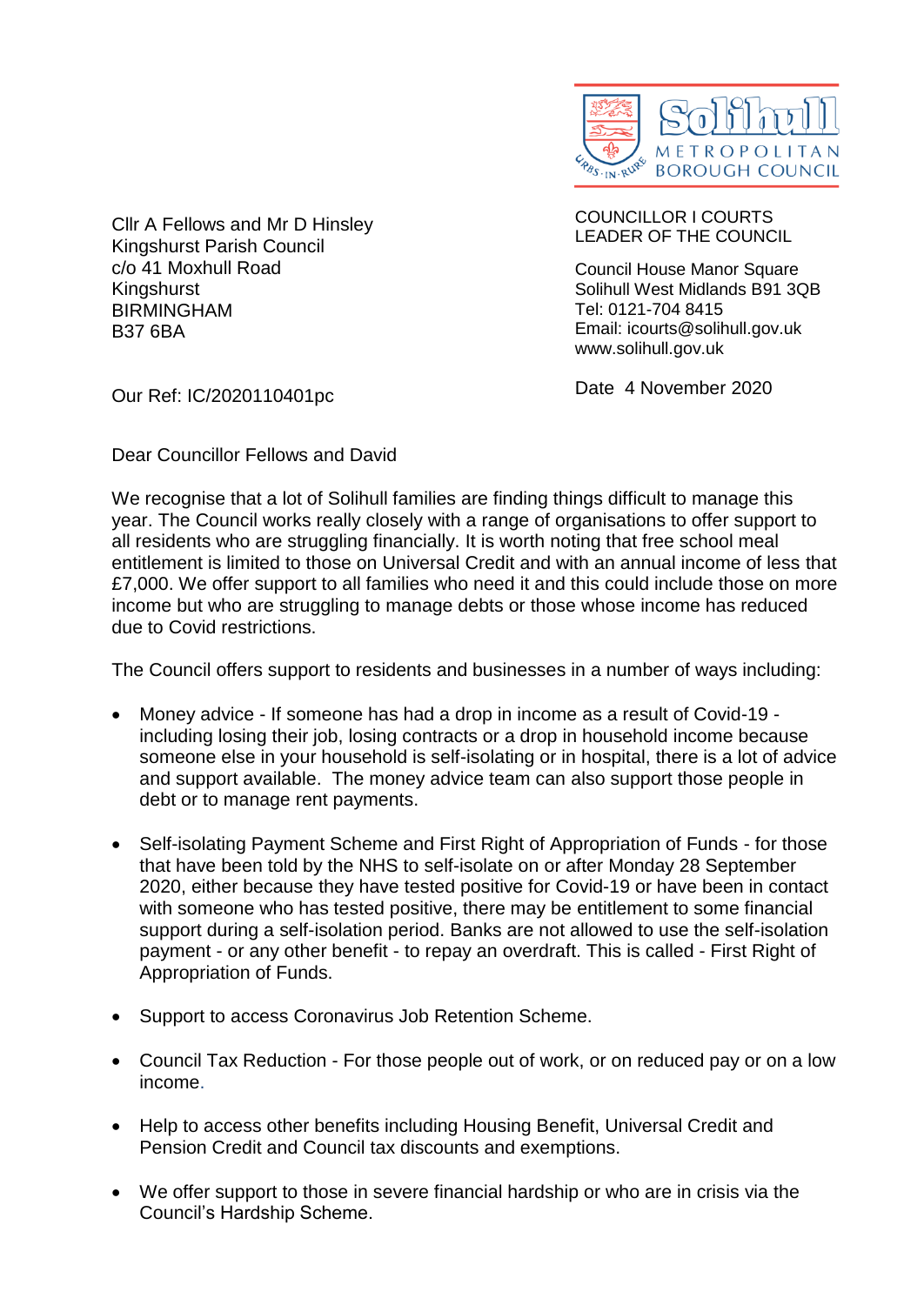

Cllr A Fellows and Mr D Hinsley Kingshurst Parish Council c/o 41 Moxhull Road Kingshurst BIRMINGHAM B37 6BA

COUNCILLOR I COURTS LEADER OF THE COUNCIL

Council House Manor Square Solihull West Midlands B91 3QB Tel: 0121-704 8415 Email: icourts@solihull.gov.uk www.solihull.gov.uk

Our Ref: IC/2020110401pc

Date 4 November 2020

Dear Councillor Fellows and David

We recognise that a lot of Solihull families are finding things difficult to manage this year. The Council works really closely with a range of organisations to offer support to all residents who are struggling financially. It is worth noting that free school meal entitlement is limited to those on Universal Credit and with an annual income of less that £7,000. We offer support to all families who need it and this could include those on more income but who are struggling to manage debts or those whose income has reduced due to Covid restrictions.

The Council offers support to residents and businesses in a number of ways including:

- Money advice If someone has had a drop in income as a result of Covid-19 including losing their job, losing contracts or a drop in household income because someone else in your household is self-isolating or in hospital, there is a lot of advice and support available. The money advice team can also support those people in debt or to manage rent payments.
- Self-isolating Payment Scheme and First Right of Appropriation of Funds for those that have been told by the NHS to self-isolate on or after Monday 28 September 2020, either because they have tested positive for Covid-19 or have been in contact with someone who has tested positive, there may be entitlement to some financial support during a self-isolation period. Banks are not allowed to use the self-isolation payment - or any other benefit - to repay an overdraft. This is called - First Right of Appropriation of Funds.
- Support to access Coronavirus Job Retention Scheme.
- Council Tax Reduction For those people out of work, or on reduced pay or on a low income.
- Help to access other benefits including Housing Benefit, Universal Credit and Pension Credit and Council tax discounts and exemptions.
- We offer support to those in severe financial hardship or who are in crisis via the Council's Hardship Scheme.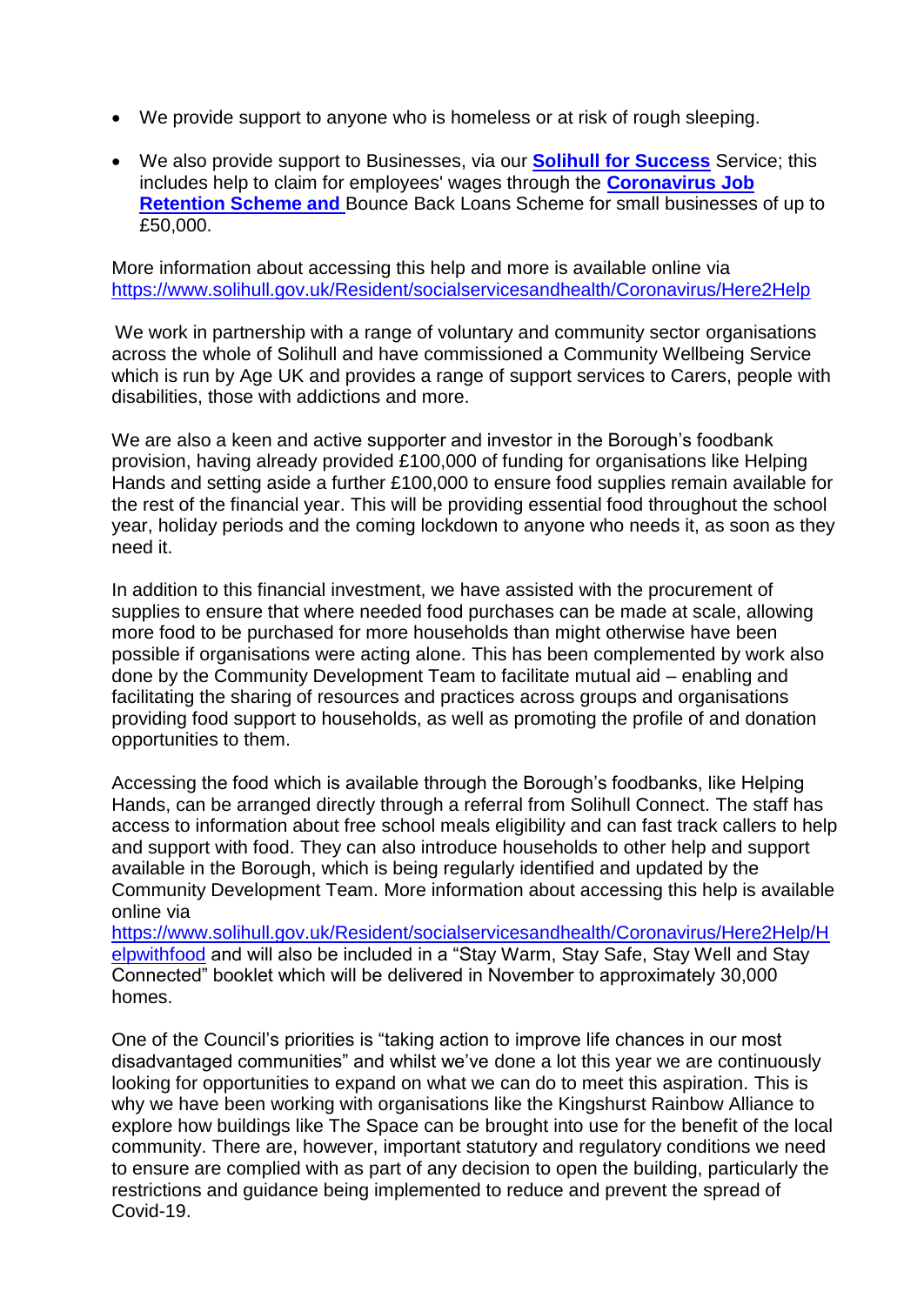- We provide support to anyone who is homeless or at risk of rough sleeping.
- We also provide support to Businesses, via our **[Solihull for Success](https://www.solihullforsuccess.com/News/Coronavirus-COVID-19-Guidance-for-Businesses#_blank)** Service; this includes help to claim for employees' wages through the **[Coronavirus Job](https://www.gov.uk/guidance/claim-for-wage-costs-through-the-coronavirus-job-retention-scheme#_blank)  [Retention Scheme and](https://www.gov.uk/guidance/claim-for-wage-costs-through-the-coronavirus-job-retention-scheme#_blank)** Bounce Back Loans Scheme for small businesses of up to £50,000.

More information about accessing this help and more is available online via [https://www.solihull.gov.uk/Resident/socialservicesandhealth/Coronavirus/Here2Help](https://www.solihull.gov.uk/Resident/socialservicesandhealth/Coronavirus/Here2Help#_blank)

We work in partnership with a range of voluntary and community sector organisations across the whole of Solihull and have commissioned a Community Wellbeing Service which is run by Age UK and provides a range of support services to Carers, people with disabilities, those with addictions and more.

We are also a keen and active supporter and investor in the Borough's foodbank provision, having already provided £100,000 of funding for organisations like Helping Hands and setting aside a further £100,000 to ensure food supplies remain available for the rest of the financial year. This will be providing essential food throughout the school year, holiday periods and the coming lockdown to anyone who needs it, as soon as they need it.

In addition to this financial investment, we have assisted with the procurement of supplies to ensure that where needed food purchases can be made at scale, allowing more food to be purchased for more households than might otherwise have been possible if organisations were acting alone. This has been complemented by work also done by the Community Development Team to facilitate mutual aid – enabling and facilitating the sharing of resources and practices across groups and organisations providing food support to households, as well as promoting the profile of and donation opportunities to them.

Accessing the food which is available through the Borough's foodbanks, like Helping Hands, can be arranged directly through a referral from Solihull Connect. The staff has access to information about free school meals eligibility and can fast track callers to help and support with food. They can also introduce households to other help and support available in the Borough, which is being regularly identified and updated by the Community Development Team. More information about accessing this help is available online via

[https://www.solihull.gov.uk/Resident/socialservicesandhealth/Coronavirus/Here2Help/H](https://www.solihull.gov.uk/Resident/socialservicesandhealth/Coronavirus/Here2Help/Helpwithfood#_blank) [elpwithfood](https://www.solihull.gov.uk/Resident/socialservicesandhealth/Coronavirus/Here2Help/Helpwithfood#_blank) and will also be included in a "Stay Warm, Stay Safe, Stay Well and Stay Connected" booklet which will be delivered in November to approximately 30,000 homes.

One of the Council's priorities is "taking action to improve life chances in our most disadvantaged communities" and whilst we've done a lot this year we are continuously looking for opportunities to expand on what we can do to meet this aspiration. This is why we have been working with organisations like the Kingshurst Rainbow Alliance to explore how buildings like The Space can be brought into use for the benefit of the local community. There are, however, important statutory and regulatory conditions we need to ensure are complied with as part of any decision to open the building, particularly the restrictions and guidance being implemented to reduce and prevent the spread of Covid-19.